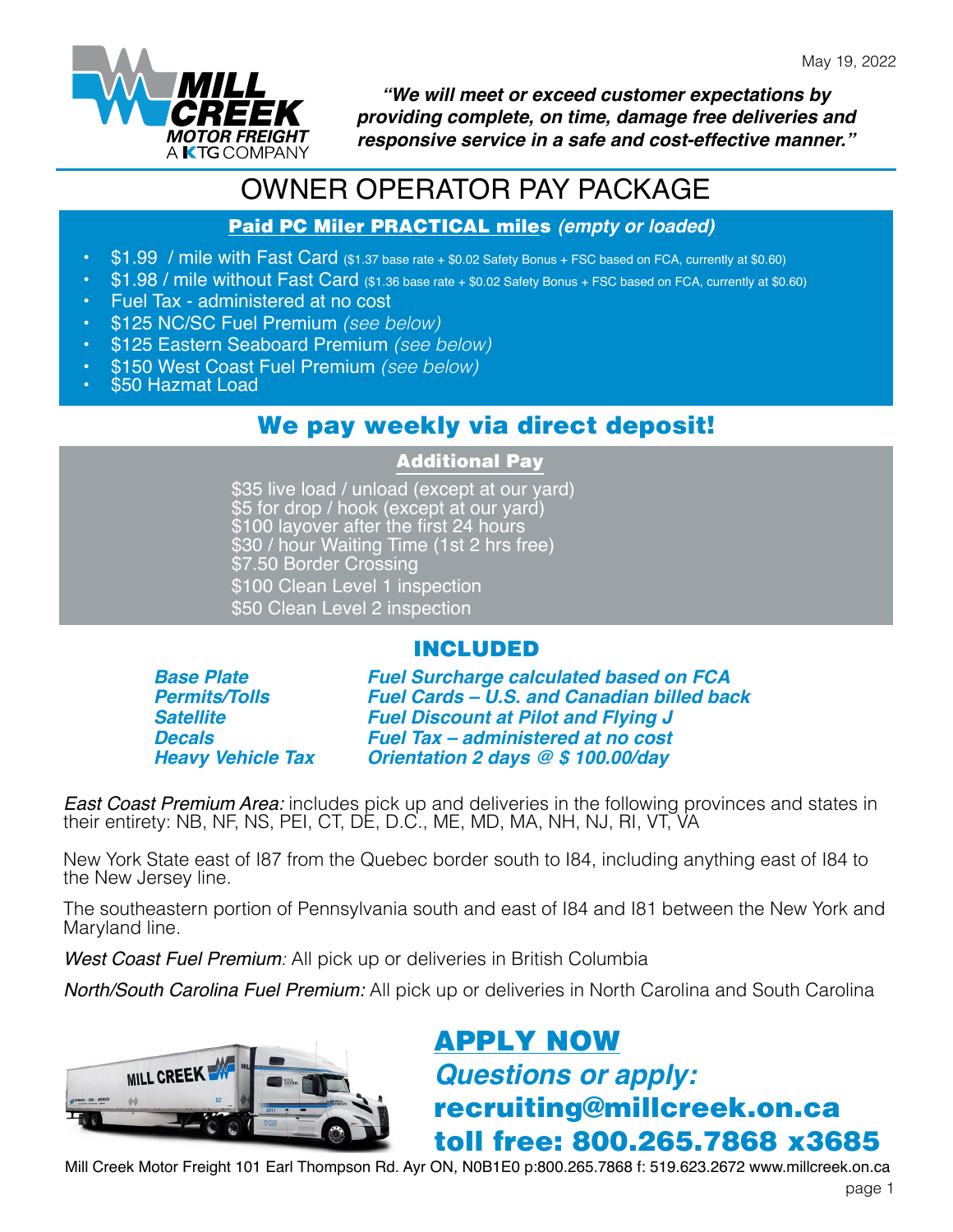

*"We will meet or exceed customer expectations by providing complete, on time, damage free deliveries and responsive service in a safe and cost-effective manner."*

# OWNER OPERATOR PAY PACKAGE

#### Paid PC Miler PRACTICAL miles *(empty or loaded)*

- \$1.99 / mile with Fast Card (\$1.37 base rate + \$0.02 Safety Bonus + FSC based on FCA, currently at \$0.60)
- \$1.98 / mile without Fast Card (\$1.36 base rate + \$0.02 Safety Bonus + FSC based on FCA, currently at \$0.60)
- Fuel Tax administered at no cost
- \$125 NC/SC Fuel Premium *(see below)*
- \$125 Eastern Seaboard Premium *(see below)*
- \$150 West Coast Fuel Premium *(see below)*
- \$50 Hazmat Load

### We pay weekly via direct deposit!

#### Additional Pay

\$35 live load / unload (except at our yard) \$5 for drop / hook (except at our yard) \$100 layover after the first 24 hours \$30 / hour Waiting Time (1st 2 hrs free) \$7.50 Border Crossing \$100 Clean Level 1 inspection \$50 Clean Level 2 inspection

### INCLUDED

*Base Plate Permits/Tolls Satellite Decals Heavy Vehicle Tax* *Fuel Surcharge calculated based on FCA Fuel Cards – U.S. and Canadian billed back Fuel Discount at Pilot and Flying J Fuel Tax – administered at no cost Orientation 2 days @ \$ 100.00/day*

*East Coast Premium Area:* includes pick up and deliveries in the following provinces and states in their entirety: NB, NF, NS, PEI, CT, DE, D.C., ME, MD, MA, NH, NJ, RI, VT, VA

New York State east of I87 from the Quebec border south to I84, including anything east of I84 to the New Jersey line.

The southeastern portion of Pennsylvania south and east of I84 and I81 between the New York and Maryland line.

*West Coast Fuel Premium:* All pick up or deliveries in British Columbia

*North/South Carolina Fuel Premium:* All pick up or deliveries in North Carolina and South Carolina



# [APPLY NOW](https://millcreek.truckright.ca/careers/position/detail/52) *Questions or apply:* recruiting@millcreek.on.ca toll free: 800.265.7868 x3685

Mill Creek Motor Freight 101 Earl Thompson Rd. Ayr ON, N0B1E0 p:800.265.7868 f: 519.623.2672 www.millcreek.on.ca